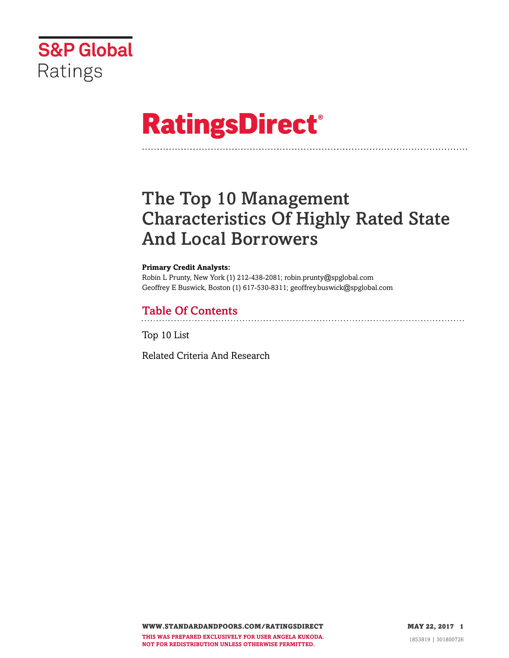

# **RatingsDirect®**

# The Top 10 Management Characteristics Of Highly Rated State And Local Borrowers

#### **Primary Credit Analysts:**

Robin L Prunty, New York (1) 212-438-2081; robin.prunty@spglobal.com Geoffrey E Buswick, Boston (1) 617-530-8311; geoffrey.buswick@spglobal.com

## Table Of Contents

[Top 10 List](#page-2-0)

[Related Criteria And Research](#page-5-0)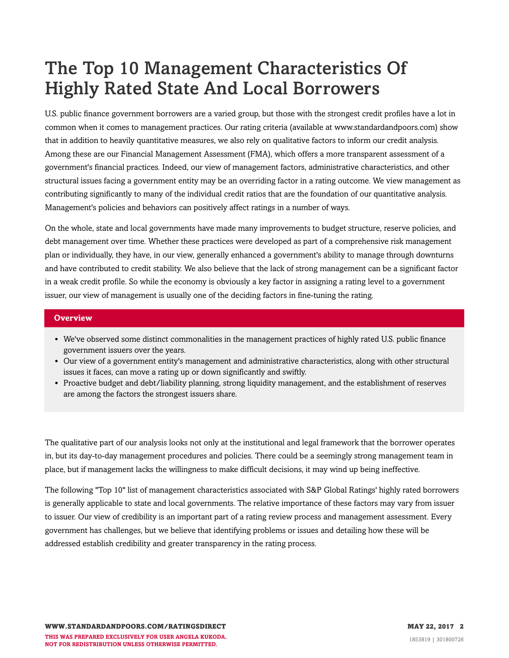# The Top 10 Management Characteristics Of Highly Rated State And Local Borrowers

U.S. public finance government borrowers are a varied group, but those with the strongest credit profiles have a lot in common when it comes to management practices. Our rating criteria (available at www.standardandpoors.com) show that in addition to heavily quantitative measures, we also rely on qualitative factors to inform our credit analysis. Among these are our Financial Management Assessment (FMA), which offers a more transparent assessment of a government's financial practices. Indeed, our view of management factors, administrative characteristics, and other structural issues facing a government entity may be an overriding factor in a rating outcome. We view management as contributing significantly to many of the individual credit ratios that are the foundation of our quantitative analysis. Management's policies and behaviors can positively affect ratings in a number of ways.

On the whole, state and local governments have made many improvements to budget structure, reserve policies, and debt management over time. Whether these practices were developed as part of a comprehensive risk management plan or individually, they have, in our view, generally enhanced a government's ability to manage through downturns and have contributed to credit stability. We also believe that the lack of strong management can be a significant factor in a weak credit profile. So while the economy is obviously a key factor in assigning a rating level to a government issuer, our view of management is usually one of the deciding factors in fine-tuning the rating.

#### **Overview**

- We've observed some distinct commonalities in the management practices of highly rated U.S. public finance government issuers over the years.
- Our view of a government entity's management and administrative characteristics, along with other structural issues it faces, can move a rating up or down significantly and swiftly.
- Proactive budget and debt/liability planning, strong liquidity management, and the establishment of reserves are among the factors the strongest issuers share.

The qualitative part of our analysis looks not only at the institutional and legal framework that the borrower operates in, but its day-to-day management procedures and policies. There could be a seemingly strong management team in place, but if management lacks the willingness to make difficult decisions, it may wind up being ineffective.

The following "Top 10" list of management characteristics associated with S&P Global Ratings' highly rated borrowers is generally applicable to state and local governments. The relative importance of these factors may vary from issuer to issuer. Our view of credibility is an important part of a rating review process and management assessment. Every government has challenges, but we believe that identifying problems or issues and detailing how these will be addressed establish credibility and greater transparency in the rating process.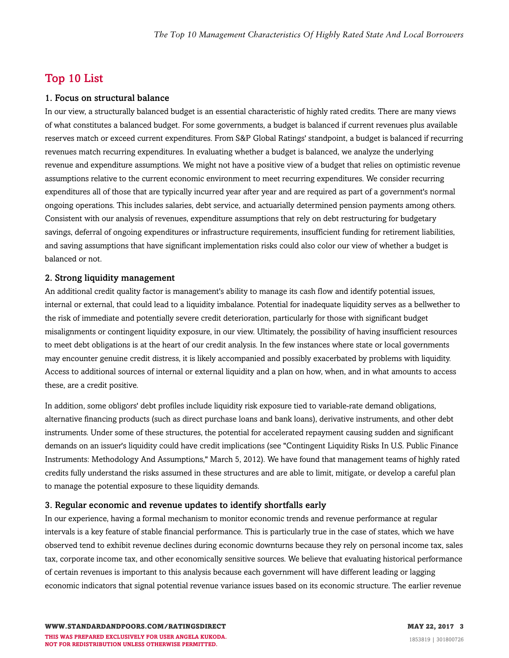### <span id="page-2-0"></span>Top 10 List

#### 1. Focus on structural balance

In our view, a structurally balanced budget is an essential characteristic of highly rated credits. There are many views of what constitutes a balanced budget. For some governments, a budget is balanced if current revenues plus available reserves match or exceed current expenditures. From S&P Global Ratings' standpoint, a budget is balanced if recurring revenues match recurring expenditures. In evaluating whether a budget is balanced, we analyze the underlying revenue and expenditure assumptions. We might not have a positive view of a budget that relies on optimistic revenue assumptions relative to the current economic environment to meet recurring expenditures. We consider recurring expenditures all of those that are typically incurred year after year and are required as part of a government's normal ongoing operations. This includes salaries, debt service, and actuarially determined pension payments among others. Consistent with our analysis of revenues, expenditure assumptions that rely on debt restructuring for budgetary savings, deferral of ongoing expenditures or infrastructure requirements, insufficient funding for retirement liabilities, and saving assumptions that have significant implementation risks could also color our view of whether a budget is balanced or not.

#### 2. Strong liquidity management

An additional credit quality factor is management's ability to manage its cash flow and identify potential issues, internal or external, that could lead to a liquidity imbalance. Potential for inadequate liquidity serves as a bellwether to the risk of immediate and potentially severe credit deterioration, particularly for those with significant budget misalignments or contingent liquidity exposure, in our view. Ultimately, the possibility of having insufficient resources to meet debt obligations is at the heart of our credit analysis. In the few instances where state or local governments may encounter genuine credit distress, it is likely accompanied and possibly exacerbated by problems with liquidity. Access to additional sources of internal or external liquidity and a plan on how, when, and in what amounts to access these, are a credit positive.

In addition, some obligors' debt profiles include liquidity risk exposure tied to variable-rate demand obligations, alternative financing products (such as direct purchase loans and bank loans), derivative instruments, and other debt instruments. Under some of these structures, the potential for accelerated repayment causing sudden and significant demands on an issuer's liquidity could have credit implications (see "Contingent Liquidity Risks In U.S. Public Finance Instruments: Methodology And Assumptions," March 5, 2012). We have found that management teams of highly rated credits fully understand the risks assumed in these structures and are able to limit, mitigate, or develop a careful plan to manage the potential exposure to these liquidity demands.

#### 3. Regular economic and revenue updates to identify shortfalls early

In our experience, having a formal mechanism to monitor economic trends and revenue performance at regular intervals is a key feature of stable financial performance. This is particularly true in the case of states, which we have observed tend to exhibit revenue declines during economic downturns because they rely on personal income tax, sales tax, corporate income tax, and other economically sensitive sources. We believe that evaluating historical performance of certain revenues is important to this analysis because each government will have different leading or lagging economic indicators that signal potential revenue variance issues based on its economic structure. The earlier revenue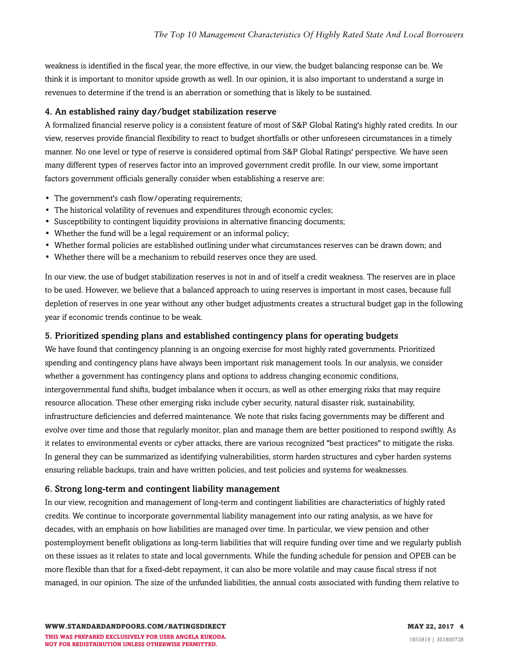weakness is identified in the fiscal year, the more effective, in our view, the budget balancing response can be. We think it is important to monitor upside growth as well. In our opinion, it is also important to understand a surge in revenues to determine if the trend is an aberration or something that is likely to be sustained.

#### 4. An established rainy day/budget stabilization reserve

A formalized financial reserve policy is a consistent feature of most of S&P Global Rating's highly rated credits. In our view, reserves provide financial flexibility to react to budget shortfalls or other unforeseen circumstances in a timely manner. No one level or type of reserve is considered optimal from S&P Global Ratings' perspective. We have seen many different types of reserves factor into an improved government credit profile. In our view, some important factors government officials generally consider when establishing a reserve are:

- The government's cash flow/operating requirements;
- The historical volatility of revenues and expenditures through economic cycles;
- Susceptibility to contingent liquidity provisions in alternative financing documents;
- Whether the fund will be a legal requirement or an informal policy;
- Whether formal policies are established outlining under what circumstances reserves can be drawn down; and
- Whether there will be a mechanism to rebuild reserves once they are used.

In our view, the use of budget stabilization reserves is not in and of itself a credit weakness. The reserves are in place to be used. However, we believe that a balanced approach to using reserves is important in most cases, because full depletion of reserves in one year without any other budget adjustments creates a structural budget gap in the following year if economic trends continue to be weak.

#### 5. Prioritized spending plans and established contingency plans for operating budgets

We have found that contingency planning is an ongoing exercise for most highly rated governments. Prioritized spending and contingency plans have always been important risk management tools. In our analysis, we consider whether a government has contingency plans and options to address changing economic conditions, intergovernmental fund shifts, budget imbalance when it occurs, as well as other emerging risks that may require resource allocation. These other emerging risks include cyber security, natural disaster risk, sustainability, infrastructure deficiencies and deferred maintenance. We note that risks facing governments may be different and evolve over time and those that regularly monitor, plan and manage them are better positioned to respond swiftly. As it relates to environmental events or cyber attacks, there are various recognized "best practices" to mitigate the risks. In general they can be summarized as identifying vulnerabilities, storm harden structures and cyber harden systems ensuring reliable backups, train and have written policies, and test policies and systems for weaknesses.

#### 6. Strong long-term and contingent liability management

In our view, recognition and management of long-term and contingent liabilities are characteristics of highly rated credits. We continue to incorporate governmental liability management into our rating analysis, as we have for decades, with an emphasis on how liabilities are managed over time. In particular, we view pension and other postemployment benefit obligations as long-term liabilities that will require funding over time and we regularly publish on these issues as it relates to state and local governments. While the funding schedule for pension and OPEB can be more flexible than that for a fixed-debt repayment, it can also be more volatile and may cause fiscal stress if not managed, in our opinion. The size of the unfunded liabilities, the annual costs associated with funding them relative to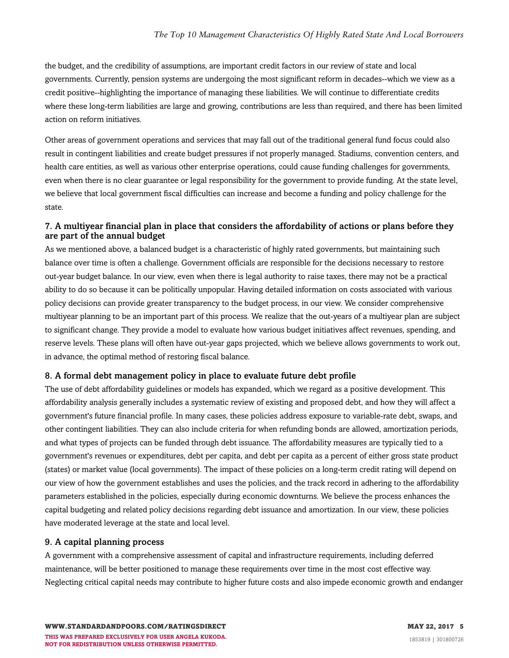the budget, and the credibility of assumptions, are important credit factors in our review of state and local governments. Currently, pension systems are undergoing the most significant reform in decades--which we view as a credit positive--highlighting the importance of managing these liabilities. We will continue to differentiate credits where these long-term liabilities are large and growing, contributions are less than required, and there has been limited action on reform initiatives.

Other areas of government operations and services that may fall out of the traditional general fund focus could also result in contingent liabilities and create budget pressures if not properly managed. Stadiums, convention centers, and health care entities, as well as various other enterprise operations, could cause funding challenges for governments, even when there is no clear guarantee or legal responsibility for the government to provide funding. At the state level, we believe that local government fiscal difficulties can increase and become a funding and policy challenge for the state.

#### 7. A multiyear financial plan in place that considers the affordability of actions or plans before they are part of the annual budget

As we mentioned above, a balanced budget is a characteristic of highly rated governments, but maintaining such balance over time is often a challenge. Government officials are responsible for the decisions necessary to restore out-year budget balance. In our view, even when there is legal authority to raise taxes, there may not be a practical ability to do so because it can be politically unpopular. Having detailed information on costs associated with various policy decisions can provide greater transparency to the budget process, in our view. We consider comprehensive multiyear planning to be an important part of this process. We realize that the out-years of a multiyear plan are subject to significant change. They provide a model to evaluate how various budget initiatives affect revenues, spending, and reserve levels. These plans will often have out-year gaps projected, which we believe allows governments to work out, in advance, the optimal method of restoring fiscal balance.

#### 8. A formal debt management policy in place to evaluate future debt profile

The use of debt affordability guidelines or models has expanded, which we regard as a positive development. This affordability analysis generally includes a systematic review of existing and proposed debt, and how they will affect a government's future financial profile. In many cases, these policies address exposure to variable-rate debt, swaps, and other contingent liabilities. They can also include criteria for when refunding bonds are allowed, amortization periods, and what types of projects can be funded through debt issuance. The affordability measures are typically tied to a government's revenues or expenditures, debt per capita, and debt per capita as a percent of either gross state product (states) or market value (local governments). The impact of these policies on a long-term credit rating will depend on our view of how the government establishes and uses the policies, and the track record in adhering to the affordability parameters established in the policies, especially during economic downturns. We believe the process enhances the capital budgeting and related policy decisions regarding debt issuance and amortization. In our view, these policies have moderated leverage at the state and local level.

#### 9. A capital planning process

A government with a comprehensive assessment of capital and infrastructure requirements, including deferred maintenance, will be better positioned to manage these requirements over time in the most cost effective way. Neglecting critical capital needs may contribute to higher future costs and also impede economic growth and endanger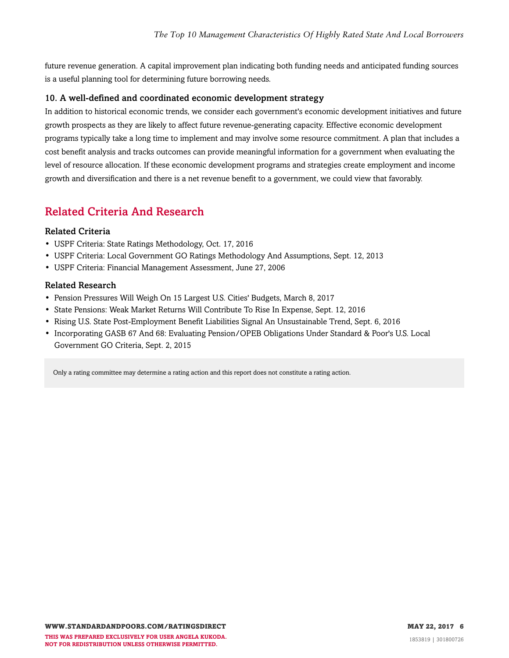future revenue generation. A capital improvement plan indicating both funding needs and anticipated funding sources is a useful planning tool for determining future borrowing needs.

#### 10. A well-defined and coordinated economic development strategy

In addition to historical economic trends, we consider each government's economic development initiatives and future growth prospects as they are likely to affect future revenue-generating capacity. Effective economic development programs typically take a long time to implement and may involve some resource commitment. A plan that includes a cost benefit analysis and tracks outcomes can provide meaningful information for a government when evaluating the level of resource allocation. If these economic development programs and strategies create employment and income growth and diversification and there is a net revenue benefit to a government, we could view that favorably.

### <span id="page-5-0"></span>Related Criteria And Research

#### Related Criteria

- USPF Criteria: State Ratings Methodology, Oct. 17, 2016
- USPF Criteria: Local Government GO Ratings Methodology And Assumptions, Sept. 12, 2013
- USPF Criteria: Financial Management Assessment, June 27, 2006

#### Related Research

- Pension Pressures Will Weigh On 15 Largest U.S. Cities' Budgets, March 8, 2017
- State Pensions: Weak Market Returns Will Contribute To Rise In Expense, Sept. 12, 2016
- Rising U.S. State Post-Employment Benefit Liabilities Signal An Unsustainable Trend, Sept. 6, 2016
- Incorporating GASB 67 And 68: Evaluating Pension/OPEB Obligations Under Standard & Poor's U.S. Local Government GO Criteria, Sept. 2, 2015

Only a rating committee may determine a rating action and this report does not constitute a rating action.